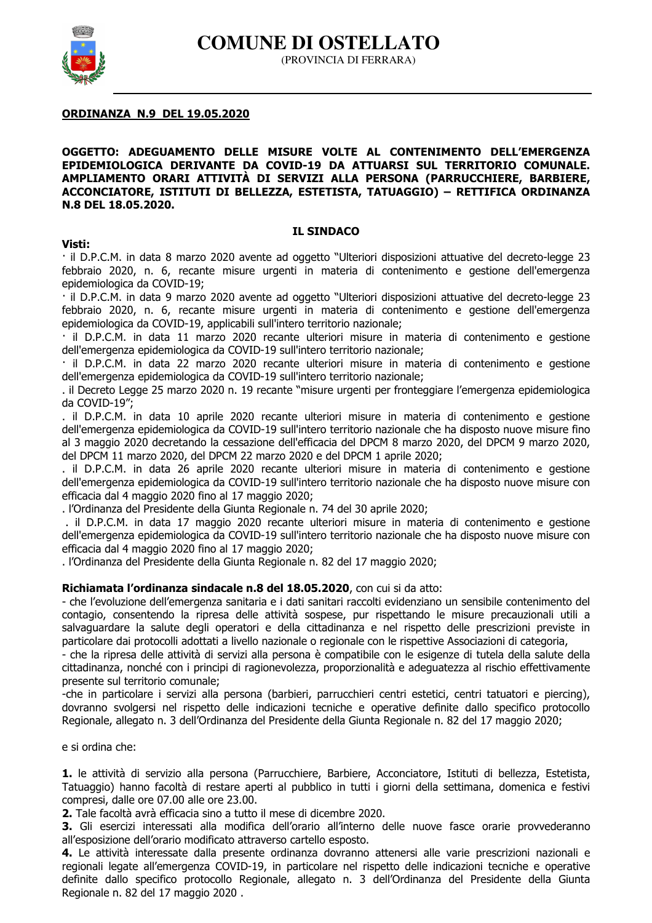**COMUNE DI OSTELLATO** 



(PROVINCIA DI FERRARA)

# **ORDINANZA N.9 DEL 19.05.2020**

## OGGETTO: ADEGUAMENTO DELLE MISURE VOLTE AL CONTENIMENTO DELL'EMERGENZA EPIDEMIOLOGICA DERIVANTE DA COVID-19 DA ATTUARSI SUL TERRITORIO COMUNALE. AMPLIAMENTO ORARI ATTIVITÀ DI SERVIZI ALLA PERSONA (PARRUCCHIERE, BARBIERE, ACCONCIATORE, ISTITUTI DI BELLEZZA, ESTETISTA, TATUAGGIO) - RETTIFICA ORDINANZA N.8 DEL 18.05.2020.

#### **IL SINDACO**

#### Visti:

· il D.P.C.M. in data 8 marzo 2020 avente ad oggetto "Ulteriori disposizioni attuative del decreto-legge 23 febbraio 2020, n. 6, recante misure urgenti in materia di contenimento e gestione dell'emergenza epidemiologica da COVID-19:

· il D.P.C.M. in data 9 marzo 2020 avente ad oggetto "Ulteriori disposizioni attuative del decreto-legge 23 febbraio 2020, n. 6, recante misure urgenti in materia di contenimento e gestione dell'emergenza epidemiologica da COVID-19, applicabili sull'intero territorio nazionale;

· il D.P.C.M. in data 11 marzo 2020 recante ulteriori misure in materia di contenimento e gestione dell'emergenza epidemiologica da COVID-19 sull'intero territorio nazionale;

il D.P.C.M. in data 22 marzo 2020 recante ulteriori misure in materia di contenimento e gestione dell'emergenza epidemiologica da COVID-19 sull'intero territorio nazionale;

. il Decreto Legge 25 marzo 2020 n. 19 recante "misure urgenti per fronteggiare l'emergenza epidemiologica da COVID-19":

, il D.P.C.M, in data 10 aprile 2020 recante ulteriori misure in materia di contenimento e gestione dell'emergenza epidemiologica da COVID-19 sull'intero territorio nazionale che ha disposto nuove misure fino al 3 maggio 2020 decretando la cessazione dell'efficacia del DPCM 8 marzo 2020, del DPCM 9 marzo 2020, del DPCM 11 marzo 2020, del DPCM 22 marzo 2020 e del DPCM 1 aprile 2020;

. il D.P.C.M. in data 26 aprile 2020 recante ulteriori misure in materia di contenimento e gestione dell'emergenza epidemiologica da COVID-19 sull'intero territorio nazionale che ha disposto nuove misure con efficacia dal 4 maggio 2020 fino al 17 maggio 2020;

. l'Ordinanza del Presidente della Giunta Regionale n. 74 del 30 aprile 2020;

. il D.P.C.M. in data 17 maggio 2020 recante ulteriori misure in materia di contenimento e gestione dell'emergenza epidemiologica da COVID-19 sull'intero territorio nazionale che ha disposto nuove misure con efficacia dal 4 maggio 2020 fino al 17 maggio 2020;

. l'Ordinanza del Presidente della Giunta Regionale n. 82 del 17 maggio 2020;

# Richiamata l'ordinanza sindacale n.8 del 18.05.2020, con cui si da atto:

- che l'evoluzione dell'emergenza sanitaria e i dati sanitari raccolti evidenziano un sensibile contenimento del contagio, consentendo la ripresa delle attività sospese, pur rispettando le misure precauzionali utili a salvaguardare la salute degli operatori e della cittadinanza e nel rispetto delle prescrizioni previste in particolare dai protocolli adottati a livello nazionale o regionale con le rispettive Associazioni di categoria,

- che la ripresa delle attività di servizi alla persona è compatibile con le esigenze di tutela della salute della cittadinanza, nonché con i principi di ragionevolezza, proporzionalità e adequatezza al rischio effettivamente presente sul territorio comunale:

-che in particolare i servizi alla persona (barbieri, parrucchieri centri estetici, centri tatuatori e piercing), dovranno svolgersi nel rispetto delle indicazioni tecniche e operative definite dallo specifico protocollo Regionale, allegato n. 3 dell'Ordinanza del Presidente della Giunta Regionale n. 82 del 17 maggio 2020;

e si ordina che:

1. le attività di servizio alla persona (Parrucchiere, Barbiere, Acconciatore, Istituti di bellezza, Estetista, Tatuaggio) hanno facoltà di restare aperti al pubblico in tutti i giorni della settimana, domenica e festivi compresi, dalle ore 07.00 alle ore 23.00.

2. Tale facoltà avrà efficacia sino a tutto il mese di dicembre 2020

3. Gli esercizi interessati alla modifica dell'orario all'interno delle nuove fasce orarie provvederanno all'esposizione dell'orario modificato attraverso cartello esposto.

4. Le attività interessate dalla presente ordinanza dovranno attenersi alle varie prescrizioni nazionali e regionali legate all'emergenza COVID-19, in particolare nel rispetto delle indicazioni tecniche e operative definite dallo specifico protocollo Regionale, allegato n. 3 dell'Ordinanza del Presidente della Giunta Regionale n. 82 del 17 maggio 2020.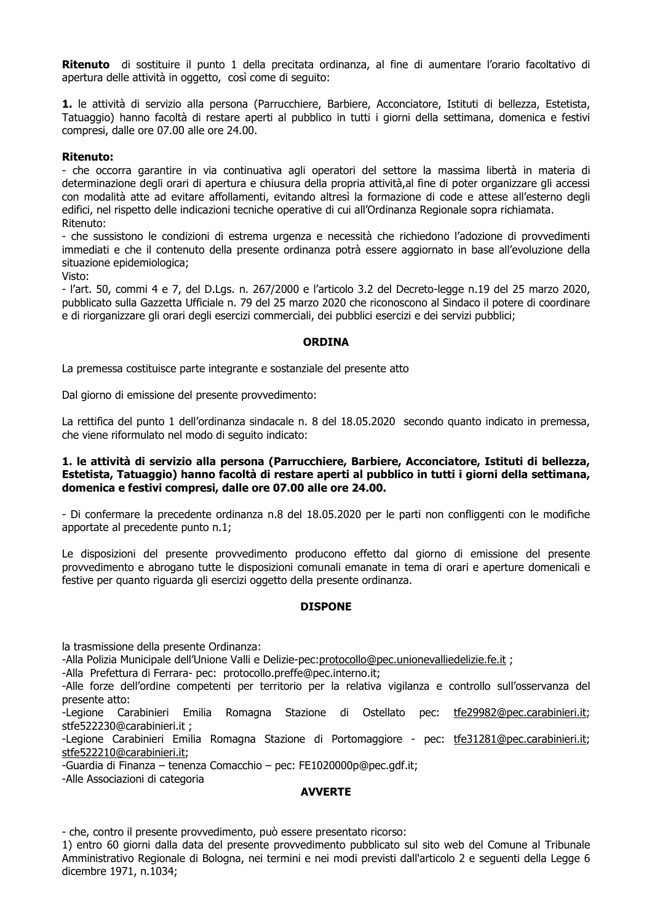Ritenuto di sostituire il punto 1 della precitata ordinanza, al fine di aumentare l'orario facoltativo di apertura delle attività in oggetto, così come di seguito:

1. le attività di servizio alla persona (Parrucchiere, Barbiere, Acconciatore, Istituti di bellezza, Estetista, Tatuaggio) hanno facoltà di restare aperti al pubblico in tutti i giorni della settimana, domenica e festivi compresi, dalle ore 07.00 alle ore 24.00.

### **Ritenuto:**

- che occorra garantire in via continuativa agli operatori del settore la massima libertà in materia di determinazione degli orari di apertura e chiusura della propria attività, al fine di poter organizzare gli accessi con modalità atte ad evitare affollamenti, evitando altresì la formazione di code e attese all'esterno degli edifici, nel rispetto delle indicazioni tecniche operative di cui all'Ordinanza Regionale sopra richiamata. Ritenuto:

- che sussistono le condizioni di estrema urgenza e necessità che richiedono l'adozione di provvedimenti immediati e che il contenuto della presente ordinanza potrà essere aggiornato in base all'evoluzione della situazione epidemiologica;

Visto:

- l'art. 50, commi 4 e 7, del D.Lgs. n. 267/2000 e l'articolo 3.2 del Decreto-legge n.19 del 25 marzo 2020, pubblicato sulla Gazzetta Ufficiale n. 79 del 25 marzo 2020 che riconoscono al Sindaco il potere di coordinare e di riorganizzare gli orari degli esercizi commerciali, dei pubblici esercizi e dei servizi pubblici;

#### **ORDINA**

La premessa costituisce parte integrante e sostanziale del presente atto

Dal giorno di emissione del presente provvedimento:

La rettifica del punto 1 dell'ordinanza sindacale n. 8 del 18.05.2020 secondo quanto indicato in premessa, che viene riformulato nel modo di seguito indicato:

## 1. le attività di servizio alla persona (Parrucchiere, Barbiere, Acconciatore, Istituti di bellezza, Estetista, Tatuaggio) hanno facoltà di restare aperti al pubblico in tutti i giorni della settimana, domenica e festivi compresi, dalle ore 07.00 alle ore 24.00.

- Di confermare la precedente ordinanza n.8 del 18.05.2020 per le parti non confliggenti con le modifiche apportate al precedente punto n.1;

Le disposizioni del presente provvedimento producono effetto dal giorno di emissione del presente provvedimento e abrogano tutte le disposizioni comunali emanate in tema di orari e aperture domenicali e festive per quanto riguarda gli esercizi oggetto della presente ordinanza.

# **DISPONE**

la trasmissione della presente Ordinanza:

-Alla Polizia Municipale dell'Unione Valli e Delizie-pec:protocollo@pec.unionevalliedelizie.fe.it ;

-Alla Prefettura di Ferrara- pec: protocollo.preffe@pec.interno.it;

-Alle forze dell'ordine competenti per territorio per la relativa vigilanza e controllo sull'osservanza del presente atto:

-Legione Carabinieri Emilia Romagna Stazione di Ostellato pec: tfe29982@pec.carabinieri.it; stfe522230@carabinieri.it:

-Legione Carabinieri Emilia Romagna Stazione di Portomaggiore - pec: tfe31281@pec.carabinieri.it; stfe522210@carabinieri.it:

-Guardia di Finanza - tenenza Comacchio - pec: FE1020000p@pec.gdf.it:

-Alle Associazioni di categoria

#### **AVVERTE**

- che, contro il presente provvedimento, può essere presentato ricorso:

1) entro 60 giorni dalla data del presente provvedimento pubblicato sul sito web del Comune al Tribunale Amministrativo Regionale di Bologna, nei termini e nei modi previsti dall'articolo 2 e seguenti della Legge 6 dicembre 1971, n.1034;